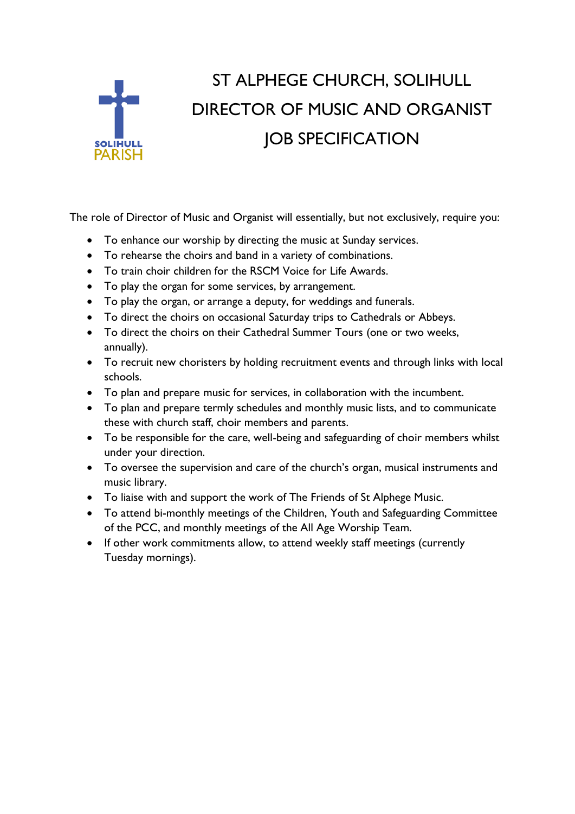

## ST ALPHEGE CHURCH, SOLIHULL DIRECTOR OF MUSIC AND ORGANIST JOB SPECIFICATION

The role of Director of Music and Organist will essentially, but not exclusively, require you:

- To enhance our worship by directing the music at Sunday services.
- To rehearse the choirs and band in a variety of combinations.
- To train choir children for the RSCM Voice for Life Awards.
- To play the organ for some services, by arrangement.
- To play the organ, or arrange a deputy, for weddings and funerals.
- To direct the choirs on occasional Saturday trips to Cathedrals or Abbeys.
- To direct the choirs on their Cathedral Summer Tours (one or two weeks, annually).
- To recruit new choristers by holding recruitment events and through links with local schools.
- To plan and prepare music for services, in collaboration with the incumbent.
- To plan and prepare termly schedules and monthly music lists, and to communicate these with church staff, choir members and parents.
- To be responsible for the care, well-being and safeguarding of choir members whilst under your direction.
- To oversee the supervision and care of the church's organ, musical instruments and music library.
- To liaise with and support the work of The Friends of St Alphege Music.
- To attend bi-monthly meetings of the Children, Youth and Safeguarding Committee of the PCC, and monthly meetings of the All Age Worship Team.
- If other work commitments allow, to attend weekly staff meetings (currently Tuesday mornings).